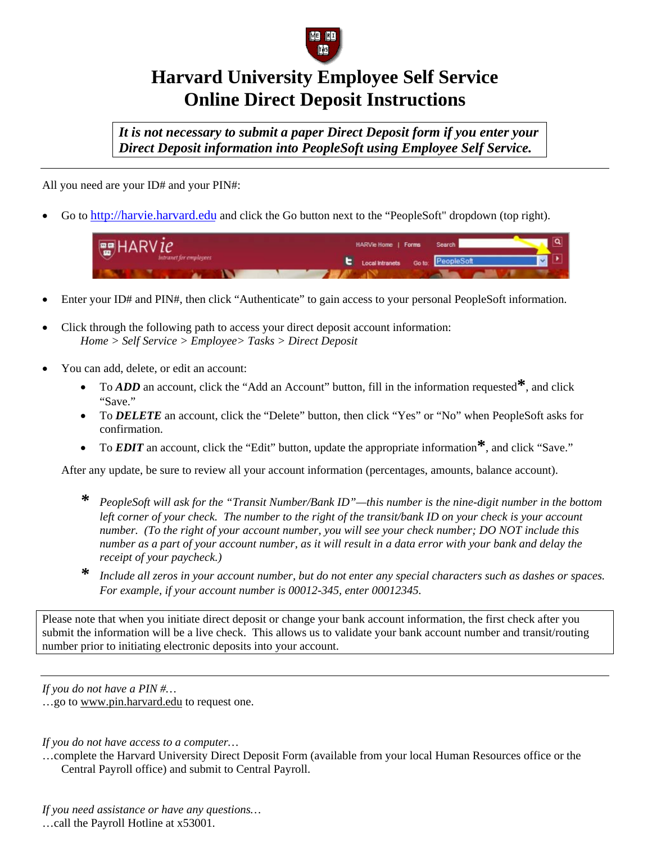

## **Harvard University Employee Self Service Online Direct Deposit Instructions**

*It is not necessary to submit a paper Direct Deposit form if you enter your Direct Deposit information into PeopleSoft using Employee Self Service.* 

All you need are your ID# and your PIN#:

• Go to [http://harvie.harvard.edu a](http://harvie.harvard.edu)nd click the Go button next to the "PeopleSoft" dropdown (top right).



- Enter your ID# and PIN#, then click "Authenticate" to gain access to your personal PeopleSoft information.
- Click through the following path to access your direct deposit account information: *Home > Self Service > Employee> Tasks > Direct Deposit*
- You can add, delete, or edit an account:
	- To *ADD* an account, click the "Add an Account" button, fill in the information requested**\***, and click "Save."
	- To *DELETE* an account, click the "Delete" button, then click "Yes" or "No" when PeopleSoft asks for confirmation.
	- To *EDIT* an account, click the "Edit" button, update the appropriate information**\***, and click "Save."

After any update, be sure to review all your account information (percentages, amounts, balance account).

- *\* PeopleSoft will ask for the "Transit Number/Bank ID"—this number is the nine-digit number in the bottom left corner of your check. The number to the right of the transit/bank ID on your check is your account number. (To the right of your account number, you will see your check number; DO NOT include this number as a part of your account number, as it will result in a data error with your bank and delay the receipt of your paycheck.)*
- *\* Include all zeros in your account number, but do not enter any special characters such as dashes or spaces. For example, if your account number is 00012-345, enter 00012345.*

Please note that when you initiate direct deposit or change your bank account information, the first check after you submit the information will be a live check. This allows us to validate your bank account number and transit/routing number prior to initiating electronic deposits into your account.

*If you d[o not have a PIN #…](http://www.pin.harvard.edu/)* 

…go to www.pin.harvard.edu to request one.

*If you do not have access to a computer…* 

…complete the Harvard University Direct Deposit Form (available from your local Human Resources office or the Central Payroll office) and submit to Central Payroll.

*If you need assistance or have any questions…*  …call the Payroll Hotline at x53001.